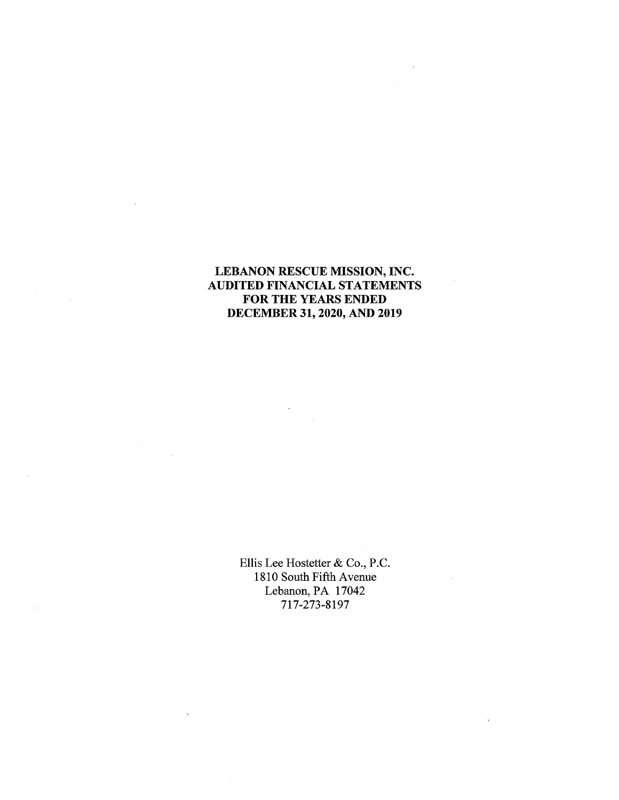## **LEBANON RESCUE MISSION, INC. AUDITED FINANCIAL STATEMENTS FOR THE YEARS ENDED DECEMBER 31, 2020, AND 2019**

 $\sim$ 

Ellis Lee Hostetter & Co., P.C. 1810 South Fifth Avenue Lebanon, PA 17042 717-273-8197

 $\bar{\lambda}$ 

 $\alpha$  .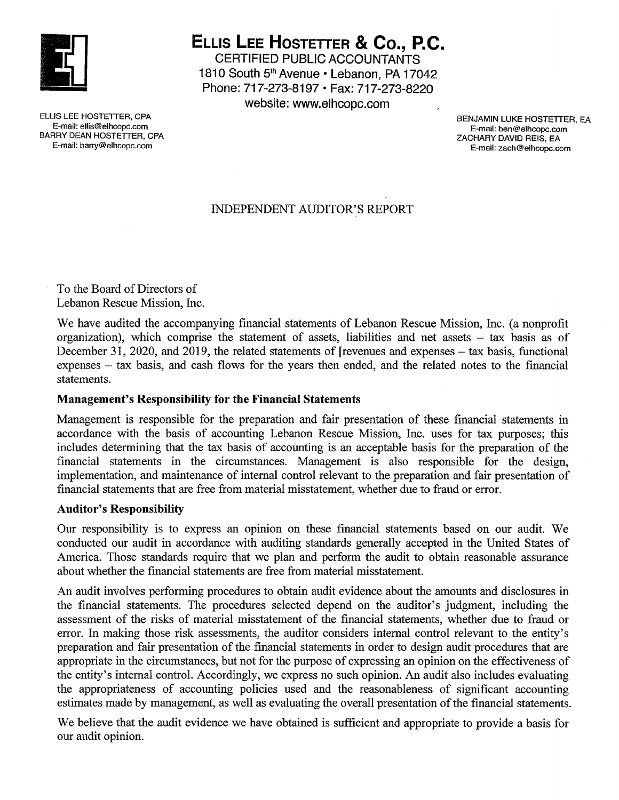

**ELLIS LEE HOSTETTER & Co., P.C.** 

CERTIFIED PUBLIC ACCOUNTANTS 1810 South 5th Avenue • Lebanon, PA 17042 Phone: 717-273-8197 • Fax: 717-273-8220 website: www.elhcopc.com

> BENJAMIN LUKE HOSTETTER, EA E-mail: ben@elhcopc.com ZACHARY DAVID REIS, EA E-mail: zach@elhcopc.com

## INDEPENDENT AUDITOR'S REPORT

To the Board of Directors of Lebanon Rescue Mission, Inc.

We have audited the accompanying financial statements of Lebanon Rescue Mission, Inc. (a nonprofit organization), which comprise the statement of assets, liabilities and net assets  $-$  tax basis as of December 31, 2020, and 2019, the related statements of [revenues and expenses – tax basis, functional expenses – tax basis, and cash flows for the years then ended, and the related notes to the financial statements.

## **Management's Responsibility for the Financial Statements**

Management is responsible for the preparation and fair presentation of these financial statements in accordance with the basis of accounting Lebanon Rescue Mission, Inc. uses for tax purposes; this includes determining that the tax basis of accounting is an acceptable basis for the preparation of the financial statements in the circumstances. Management is also responsible for the design, implementation, and maintenance of internal control relevant to the preparation and fair presentation of financial statements that are free from material misstatement, whether due to fraud or error.

### **Auditor's Responsibility**

Our responsibility is to express an opinion on these financial statements based on our audit. We conducted our audit in accordance with auditing standards generally accepted in the United States of America. Those standards require that we plan and perform the audit to obtain reasonable assurance about whether the financial statements are free from material misstatement.

An audit involves performing procedures to obtain audit evidence about the amounts and disclosures in the financial statements. The procedures selected depend on the auditor's judgment, including the assessment of the risks of material misstatement of the financial statements, whether due to fraud or error. In making those risk assessments, the auditor considers internal control relevant to the entity's preparation and fair presentation of the financial statements in order to design audit procedures that are appropriate in the circumstances, but not for the purpose of expressing an opinion on the effectiveness of the entity's internal control. Accordingly, we express no such opinion. An audit also includes evaluating the appropriateness of accounting policies used and the reasonableness of significant accounting estimates made by management, as well as evaluating the overall presentation of the financial statements.

We believe that the audit evidence we have obtained is sufficient and appropriate to provide a basis for our audit opinion.

ELLIS LEE HOSTETTER, CPA E-mail: ellis@elhcopc.com BARRY DEAN HOSTETTER, CPA E-mail: barry@elhcopc.com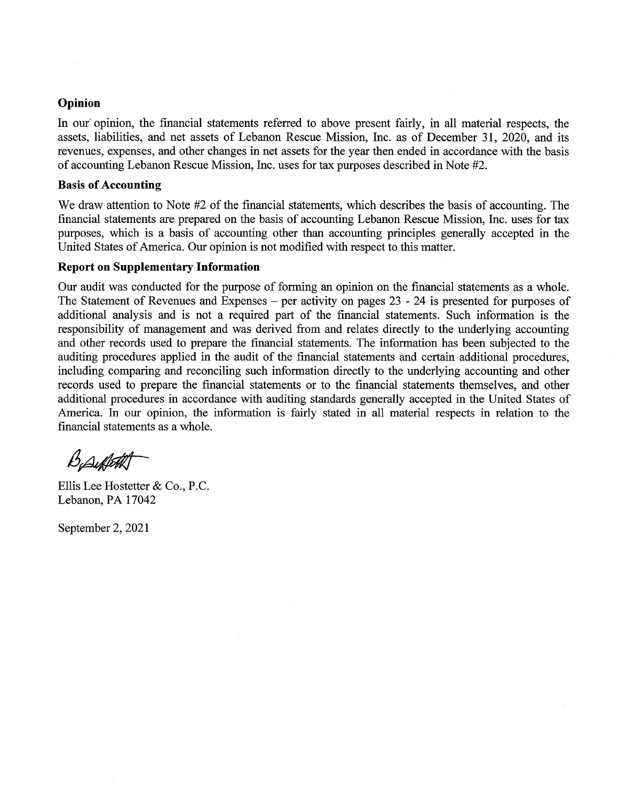#### **Opinion**

In our opinion, the financial statements referred to above present fairly, in all material respects, the assets, liabilities, and net assets of Lebanon Rescue Mission, Inc. as of December 31, 2020, and its revenues, expenses, and other changes in net assets for the year then ended in accordance with the basis of accounting Lebanon Rescue Mission, Inc. uses for tax purposes described in Note #2.

#### **Basis of Accounting**

We draw attention to Note #2 of the financial statements, which describes the basis of accounting. The financial statements are prepared on the basis of accounting Lebanon Rescue Mission, Inc. uses for tax purposes, which is a basis of accounting other than accounting principles generally accepted in the United States of America. Our opinion is not modified with respect to this matter.

### **Report on Supplementary Information**

Our audit was conducted for the purpose of forming an opinion on the financial statements as a whole. The Statement of Revenues and Expenses  $-$  per activity on pages 23  $-$  24 is presented for purposes of additional analysis and is not a required part of the financial statements. Such information is the responsibility of management and was derived from and relates directly to the underlying accounting and other records used to prepare the financial statements. The information has been subjected to the auditing procedures applied in the audit of the financial statements and certain additional procedures, including comparing and reconciling such information directly to the underlying accounting and other records used to prepare the financial statements or to the financial statements themselves, and other additional procedures in accordance with auditing standards generally accepted in the United States of America. In our opinion, the information is fairly stated in all material respects in relation to the financial statements as a whole.

Besuffeth

Ellis Lee Hostetter & Co., P.C. Lebanon, PA 17042

September 2, 2021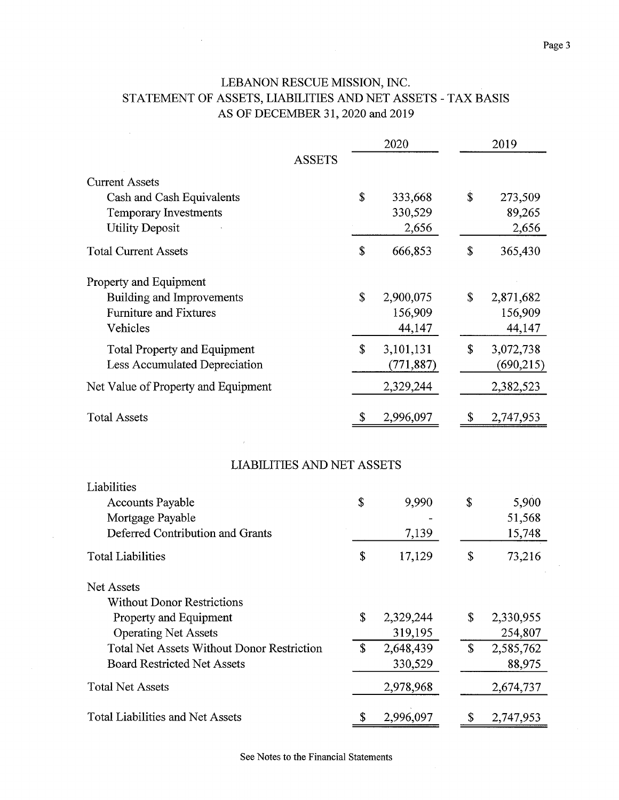## LEBANON RESCUE MISSION, INC. STATEMENT OF ASSETS, LIABILITIES AND NET ASSETS - TAX BASIS AS OF DECEMBER 31, 2020 and 2019

 $\sim 10^{-11}$ 

 $\sim$ 

 $\bar{\beta}$ 

|                                                   | 2020            |    | 2019      |
|---------------------------------------------------|-----------------|----|-----------|
| <b>ASSETS</b>                                     |                 |    |           |
| <b>Current Assets</b>                             |                 |    |           |
| Cash and Cash Equivalents                         | \$<br>333,668   | \$ | 273,509   |
| <b>Temporary Investments</b>                      | 330,529         |    | 89,265    |
| <b>Utility Deposit</b>                            | 2,656           |    | 2,656     |
| <b>Total Current Assets</b>                       | \$<br>666,853   | \$ | 365,430   |
| Property and Equipment                            |                 |    |           |
| Building and Improvements                         | \$<br>2,900,075 | \$ | 2,871,682 |
| <b>Furniture and Fixtures</b>                     | 156,909         |    | 156,909   |
| Vehicles                                          | 44,147          |    | 44,147    |
| <b>Total Property and Equipment</b>               | \$<br>3,101,131 | \$ | 3,072,738 |
| Less Accumulated Depreciation                     | (771, 887)      |    | (690,215) |
| Net Value of Property and Equipment               | 2,329,244       |    | 2,382,523 |
| <b>Total Assets</b>                               | 2,996,097       | \$ | 2,747,953 |
|                                                   |                 |    |           |
| <b>LIABILITIES AND NET ASSETS</b>                 |                 |    |           |
| Liabilities                                       |                 |    |           |
| <b>Accounts Payable</b>                           | \$<br>9,990     | \$ | 5,900     |
| Mortgage Payable                                  |                 |    | 51,568    |
| Deferred Contribution and Grants                  | 7,139           |    | 15,748    |
| <b>Total Liabilities</b>                          | \$<br>17,129    | \$ | 73,216    |
| <b>Net Assets</b>                                 |                 |    |           |
| <b>Without Donor Restrictions</b>                 |                 |    |           |
| Property and Equipment                            | \$<br>2,329,244 | \$ | 2,330,955 |
| <b>Operating Net Assets</b>                       | 319,195         |    | 254,807   |
| <b>Total Net Assets Without Donor Restriction</b> | \$<br>2,648,439 | \$ | 2,585,762 |
| <b>Board Restricted Net Assets</b>                | 330,529         |    | 88,975    |
| <b>Total Net Assets</b>                           | 2,978,968       |    | 2,674,737 |
| <b>Total Liabilities and Net Assets</b>           | 2,996,097       | Y. | 2,747,953 |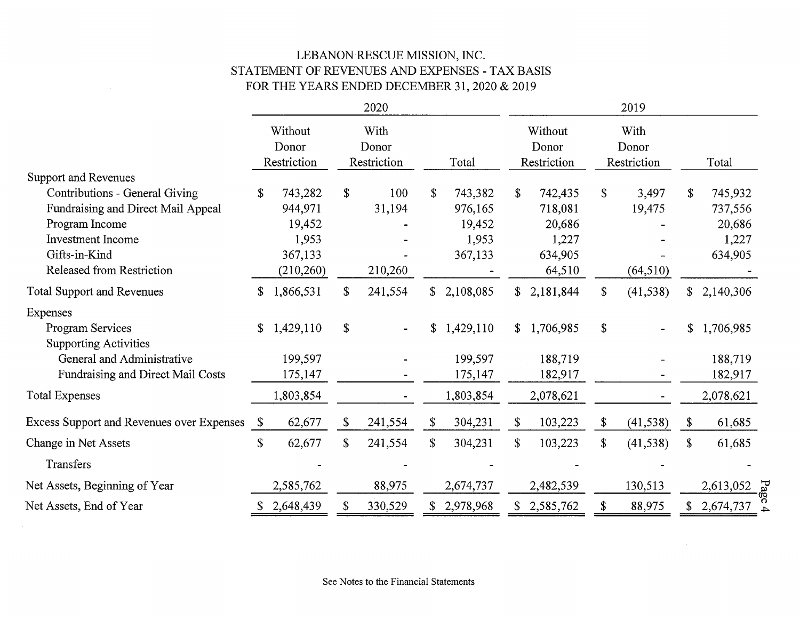## LEBANON RESCUE MISSION, INC. STATEMENT OF REVENUES AND EXPENSES - TAX BASIS FOR THE YEARS ENDED DECEMBER 31, 2020 & 2019

|                                           | 2020 |             |              |             |              |           | 2019           |             |               |             |    |                  |
|-------------------------------------------|------|-------------|--------------|-------------|--------------|-----------|----------------|-------------|---------------|-------------|----|------------------|
|                                           |      | Without     |              | With        |              |           | Without        |             |               | With        |    |                  |
|                                           |      | Donor       |              | Donor       |              |           |                | Donor       |               | Donor       |    |                  |
|                                           |      | Restriction |              | Restriction |              | Total     |                | Restriction |               | Restriction |    | Total            |
| Support and Revenues                      |      |             |              |             |              |           |                |             |               |             |    |                  |
| Contributions - General Giving            | S    | 743,282     | $\mathbb{S}$ | 100         | $\mathbb{S}$ | 743,382   | \$             | 742,435     | $\mathbf{\$}$ | 3,497       | \$ | 745,932          |
| Fundraising and Direct Mail Appeal        |      | 944,971     |              | 31,194      |              | 976,165   |                | 718,081     |               | 19,475      |    | 737,556          |
| Program Income                            |      | 19,452      |              |             |              | 19,452    |                | 20,686      |               |             |    | 20,686           |
| <b>Investment Income</b>                  |      | 1,953       |              |             |              | 1,953     |                | 1,227       |               |             |    | 1,227            |
| Gifts-in-Kind                             |      | 367,133     |              |             |              | 367,133   |                | 634,905     |               |             |    | 634,905          |
| <b>Released from Restriction</b>          |      | (210, 260)  |              | 210,260     |              |           |                | 64,510      |               | (64, 510)   |    |                  |
| <b>Total Support and Revenues</b>         | \$   | 1,866,531   | $\mathbb{S}$ | 241,554     | \$           | 2,108,085 | $\mathbb{S}$   | 2,181,844   | $\mathbb{S}$  | (41, 538)   | \$ | 2,140,306        |
| Expenses                                  |      |             |              |             |              |           |                |             |               |             |    |                  |
| Program Services                          | \$   | 1,429,110   | \$           |             | \$           | 1,429,110 | $\mathbb{S}^-$ | 1,706,985   | \$            |             | \$ | 1,706,985        |
| <b>Supporting Activities</b>              |      |             |              |             |              |           |                |             |               |             |    |                  |
| General and Administrative                |      | 199,597     |              |             |              | 199,597   |                | 188,719     |               |             |    | 188,719          |
| Fundraising and Direct Mail Costs         |      | 175,147     |              |             |              | 175,147   |                | 182,917     |               |             |    | 182,917          |
| <b>Total Expenses</b>                     |      | 1,803,854   |              |             |              | 1,803,854 |                | 2,078,621   |               |             |    | 2,078,621        |
| Excess Support and Revenues over Expenses | S.   | 62,677      | S.           | 241,554     | S.           | 304,231   | S.             | 103,223     | S             | (41, 538)   | \$ | 61,685           |
| Change in Net Assets                      | \$   | 62,677      | \$           | 241,554     | $\mathbb{S}$ | 304,231   | \$             | 103,223     | \$            | (41, 538)   | \$ | 61,685           |
| Transfers                                 |      |             |              |             |              |           |                |             |               |             |    |                  |
| Net Assets, Beginning of Year             |      | 2,585,762   |              | 88,975      |              | 2,674,737 |                | 2,482,539   |               | 130,513     |    | 2,613,052<br>Pag |
| Net Assets, End of Year                   |      | 2,648,439   |              | 330,529     | \$           | 2,978,968 | S.             | 2,585,762   |               | 88,975      |    | o<br>2,674,737   |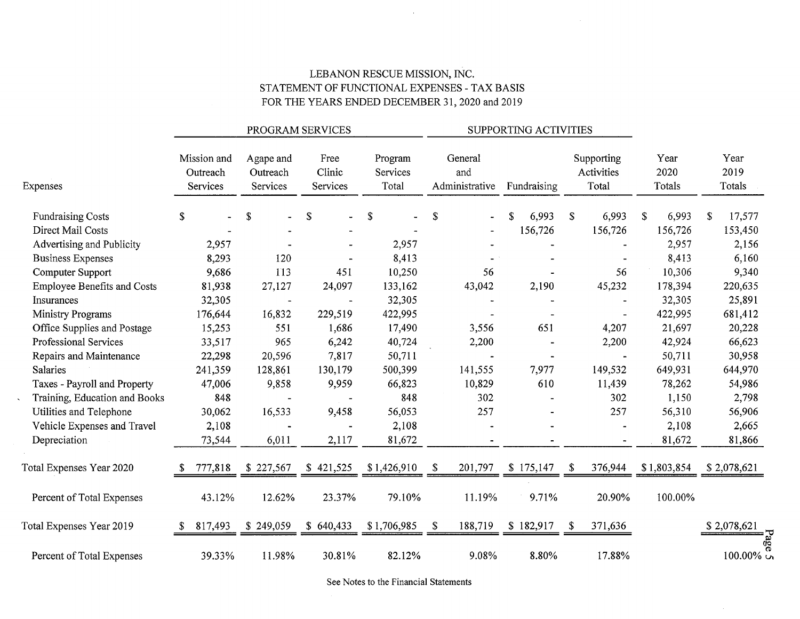## LEBANON RESCUE MISSION, INC. STATEMENT OF FUNCTIONAL EXPENSES -TAX BASIS FOR THE YEARS ENDED DECEMBER 31, 2020 and 2019

 $\mathcal{L}$ 

|                                    |    |                                     |                                   | <b>SUPPORTING ACTIVITIES</b><br>PROGRAM SERVICES |                              |    |                                  |             |              |                                   |                        |                        |
|------------------------------------|----|-------------------------------------|-----------------------------------|--------------------------------------------------|------------------------------|----|----------------------------------|-------------|--------------|-----------------------------------|------------------------|------------------------|
| Expenses                           |    | Mission and<br>Outreach<br>Services | Agape and<br>Outreach<br>Services | Free<br>Clinic<br>Services                       | Program<br>Services<br>Total |    | General<br>and<br>Administrative | Fundraising |              | Supporting<br>Activities<br>Total | Year<br>2020<br>Totals | Year<br>2019<br>Totals |
| <b>Fundraising Costs</b>           | \$ |                                     | $\boldsymbol{\mathsf{S}}$         | \$                                               | \$                           | \$ |                                  | 6,993<br>\$ | $\mathbb{S}$ | 6,993                             | 6,993<br><sup>\$</sup> | \$<br>17,577           |
| <b>Direct Mail Costs</b>           |    |                                     |                                   |                                                  |                              |    |                                  | 156,726     |              | 156,726                           | 156,726                | 153,450                |
| Advertising and Publicity          |    | 2,957                               |                                   |                                                  | 2,957                        |    |                                  |             |              |                                   | 2,957                  | 2,156                  |
| <b>Business Expenses</b>           |    | 8,293                               | 120                               |                                                  | 8,413                        |    |                                  |             |              |                                   | 8,413                  | 6,160                  |
| Computer Support                   |    | 9,686                               | 113                               | 451                                              | 10,250                       |    | 56                               |             |              | 56                                | 10,306                 | 9,340                  |
| <b>Employee Benefits and Costs</b> |    | 81,938                              | 27,127                            | 24,097                                           | 133,162                      |    | 43,042                           | 2,190       |              | 45,232                            | 178,394                | 220,635                |
| Insurances                         |    | 32,305                              | $\overline{\phantom{a}}$          |                                                  | 32,305                       |    |                                  |             |              |                                   | 32,305                 | 25,891                 |
| <b>Ministry Programs</b>           |    | 176,644                             | 16,832                            | 229,519                                          | 422,995                      |    |                                  |             |              |                                   | 422,995                | 681,412                |
| Office Supplies and Postage        |    | 15,253                              | 551                               | 1,686                                            | 17,490                       |    | 3,556                            | 651         |              | 4,207                             | 21,697                 | 20,228                 |
| Professional Services              |    | 33,517                              | 965                               | 6,242                                            | 40,724                       |    | 2,200                            |             |              | 2,200                             | 42,924                 | 66,623                 |
| Repairs and Maintenance            |    | 22,298                              | 20,596                            | 7,817                                            | 50,711                       |    |                                  |             |              |                                   | 50,711                 | 30,958                 |
| Salaries                           |    | 241,359                             | 128,861                           | 130,179                                          | 500,399                      |    | 141,555                          | 7,977       |              | 149,532                           | 649,931                | 644,970                |
| Taxes - Payroll and Property       |    | 47,006                              | 9,858                             | 9,959                                            | 66,823                       |    | 10,829                           | 610         |              | 11,439                            | 78,262                 | 54,986                 |
| Training, Education and Books      |    | 848                                 |                                   |                                                  | 848                          |    | 302                              |             |              | 302                               | 1,150                  | 2,798                  |
| Utilities and Telephone            |    | 30,062                              | 16,533                            | 9,458                                            | 56,053                       |    | 257                              |             |              | 257                               | 56,310                 | 56,906                 |
| Vehicle Expenses and Travel        |    | 2,108                               |                                   |                                                  | 2,108                        |    |                                  |             |              |                                   | 2,108                  | 2,665                  |
| Depreciation                       |    | 73,544                              | 6,011                             | 2,117                                            | 81,672                       |    |                                  |             |              |                                   | 81,672                 | 81,866                 |
| Total Expenses Year 2020           |    | 777,818                             | \$227,567                         | \$421,525                                        | \$1,426,910                  | S  | 201,797                          | \$175,147   | \$           | 376,944                           | \$1,803,854            | \$2,078,621            |
| Percent of Total Expenses          |    | 43.12%                              | 12.62%                            | 23.37%                                           | 79.10%                       |    | 11.19%                           | 9.71%       |              | 20.90%                            | 100.00%                |                        |
| Total Expenses Year 2019           |    | 817,493                             | \$249,059                         | \$640,433                                        | \$1,706,985                  | \$ | 188,719                          | \$182,917   | -S           | 371,636                           |                        | \$2,078,621            |
| Percent of Total Expenses          |    | 39.33%                              | 11.98%                            | 30.81%                                           | 82.12%                       |    | 9.08%                            | 8.80%       |              | 17.88%                            |                        | Page<br>$100.00\%$ ဟ   |

See Notes to the Financial Statements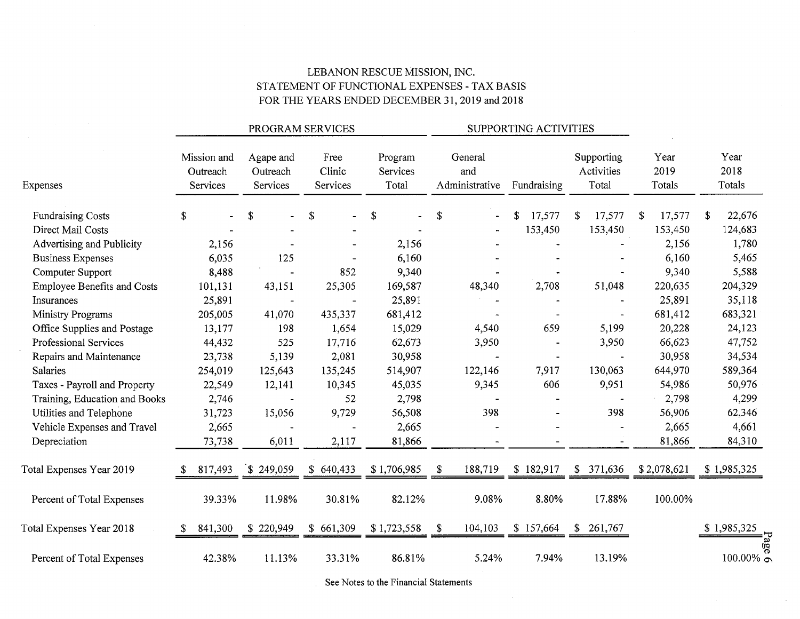## LEBANON RESCUE MISSION, INC. STATEMENT OF FUNCTIONAL EXPENSES -TAX BASIS FOR THE YEARS ENDED DECEMBER 31, 2019 and 2018

|                                    | PROGRAM SERVICES |                                     |                                   |                            | SUPPORTING ACTIVITIES        |    |                                  |              |     |                                   |                        |    |                        |
|------------------------------------|------------------|-------------------------------------|-----------------------------------|----------------------------|------------------------------|----|----------------------------------|--------------|-----|-----------------------------------|------------------------|----|------------------------|
| Expenses                           |                  | Mission and<br>Outreach<br>Services | Agape and<br>Outreach<br>Services | Free<br>Clinic<br>Services | Program<br>Services<br>Total |    | General<br>and<br>Administrative | Fundraising  |     | Supporting<br>Activities<br>Total | Year<br>2019<br>Totals |    | Year<br>2018<br>Totals |
| <b>Fundraising Costs</b>           | \$               |                                     | \$                                | S                          | S                            | S. |                                  | 17,577<br>\$ | -S  | 17,577                            | 17,577<br>\$           | S. | 22,676                 |
| Direct Mail Costs                  |                  |                                     |                                   |                            |                              |    |                                  | 153,450      |     | 153,450                           | 153,450                |    | 124,683                |
| Advertising and Publicity          |                  | 2,156                               |                                   |                            | 2,156                        |    |                                  |              |     |                                   | 2,156                  |    | 1,780                  |
| <b>Business Expenses</b>           |                  | 6,035                               | 125                               |                            | 6,160                        |    |                                  |              |     |                                   | 6,160                  |    | 5,465                  |
| Computer Support                   |                  | 8,488                               |                                   | 852                        | 9,340                        |    |                                  |              |     |                                   | 9,340                  |    | 5,588                  |
| <b>Employee Benefits and Costs</b> |                  | 101,131                             | 43,151                            | 25,305                     | 169,587                      |    | 48,340                           | 2,708        |     | 51,048                            | 220,635                |    | 204,329                |
| Insurances                         |                  | 25,891                              |                                   |                            | 25,891                       |    |                                  |              |     |                                   | 25,891                 |    | 35,118                 |
| <b>Ministry Programs</b>           |                  | 205,005                             | 41,070                            | 435,337                    | 681,412                      |    |                                  |              |     |                                   | 681,412                |    | 683,321                |
| Office Supplies and Postage        |                  | 13,177                              | 198                               | 1,654                      | 15,029                       |    | 4,540                            | 659          |     | 5,199                             | 20,228                 |    | 24,123                 |
| Professional Services              |                  | 44,432                              | 525                               | 17,716                     | 62,673                       |    | 3,950                            |              |     | 3,950                             | 66,623                 |    | 47,752                 |
| Repairs and Maintenance            |                  | 23,738                              | 5,139                             | 2,081                      | 30,958                       |    |                                  |              |     |                                   | 30,958                 |    | 34,534                 |
| Salaries                           |                  | 254,019                             | 125,643                           | 135,245                    | 514,907                      |    | 122,146                          | 7,917        |     | 130,063                           | 644,970                |    | 589,364                |
| Taxes - Payroll and Property       |                  | 22,549                              | 12,141                            | 10,345                     | 45,035                       |    | 9,345                            | 606          |     | 9,951                             | 54,986                 |    | 50,976                 |
| Training, Education and Books      |                  | 2,746                               |                                   | 52                         | 2,798                        |    |                                  |              |     |                                   | 2,798                  |    | 4,299                  |
| Utilities and Telephone            |                  | 31,723                              | 15,056                            | 9,729                      | 56,508                       |    | 398                              |              |     | 398                               | 56,906                 |    | 62,346                 |
| Vehicle Expenses and Travel        |                  | 2,665                               |                                   |                            | 2,665                        |    |                                  |              |     |                                   | 2,665                  |    | 4,661                  |
| Depreciation                       |                  | 73,738                              | 6,011                             | 2,117                      | 81,866                       |    |                                  |              |     |                                   | 81,866                 |    | 84,310                 |
| Total Expenses Year 2019           |                  | 817,493                             | \$249,059                         | \$640,433                  | \$1,706,985                  | \$ | 188,719                          | \$182,917    | \$  | 371,636                           | \$2,078,621            |    | \$1,985,325            |
| Percent of Total Expenses          |                  | 39.33%                              | 11.98%                            | 30.81%                     | 82.12%                       |    | 9.08%                            | 8.80%        |     | 17.88%                            | 100.00%                |    |                        |
| Total Expenses Year 2018           |                  | 841,300                             | \$220,949                         | \$661,309                  | \$1,723,558                  | -S | 104,103                          | \$157,664    | \$. | 261,767                           |                        |    | \$1,985,325            |
| Percent of Total Expenses          |                  | 42.38%                              | 11.13%                            | 33.31%                     | 86.81%                       |    | 5.24%                            | 7.94%        |     | 13.19%                            |                        |    | Page<br>$100.00\%$ o   |

See Notes to the Financial Statements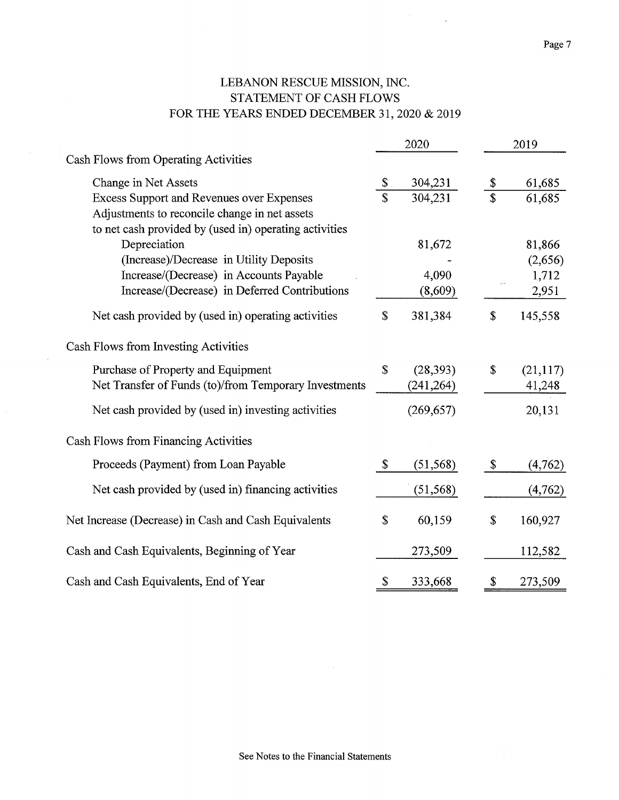# LEBANON RESCUE MISSION, INC. STATEMENT OF CASH FLOWS FOR THE YEARS ENDED DECEMBER 31, 2020  $\&$  2019

|                                                        | 2020           |            | 2019            |  |
|--------------------------------------------------------|----------------|------------|-----------------|--|
| Cash Flows from Operating Activities                   |                |            |                 |  |
| Change in Net Assets                                   | $\mathbb{S}_-$ | 304,231    | 61,685          |  |
| <b>Excess Support and Revenues over Expenses</b>       |                | 304,231    | \$<br>61,685    |  |
| Adjustments to reconcile change in net assets          |                |            |                 |  |
| to net cash provided by (used in) operating activities |                |            |                 |  |
| Depreciation                                           |                | 81,672     | 81,866          |  |
| (Increase)/Decrease in Utility Deposits                |                |            | (2,656)         |  |
| Increase/(Decrease) in Accounts Payable                |                | 4,090      | 1,712           |  |
| Increase/(Decrease) in Deferred Contributions          |                | (8,609)    | 2,951           |  |
| Net cash provided by (used in) operating activities    | \$             | 381,384    | \$<br>145,558   |  |
| Cash Flows from Investing Activities                   |                |            |                 |  |
| Purchase of Property and Equipment                     | \$             | (28, 393)  | \$<br>(21, 117) |  |
| Net Transfer of Funds (to)/from Temporary Investments  |                | (241, 264) | 41,248          |  |
| Net cash provided by (used in) investing activities    |                | (269, 657) | 20,131          |  |
| <b>Cash Flows from Financing Activities</b>            |                |            |                 |  |
| Proceeds (Payment) from Loan Payable                   | \$             | (51, 568)  | \$<br>(4,762)   |  |
| Net cash provided by (used in) financing activities    |                | (51, 568)  | (4,762)         |  |
| Net Increase (Decrease) in Cash and Cash Equivalents   | \$             | 60,159     | \$<br>160,927   |  |
| Cash and Cash Equivalents, Beginning of Year           |                | 273,509    | 112,582         |  |
| Cash and Cash Equivalents, End of Year                 | \$             | 333,668    | \$<br>273,509   |  |

 $\bar{z}$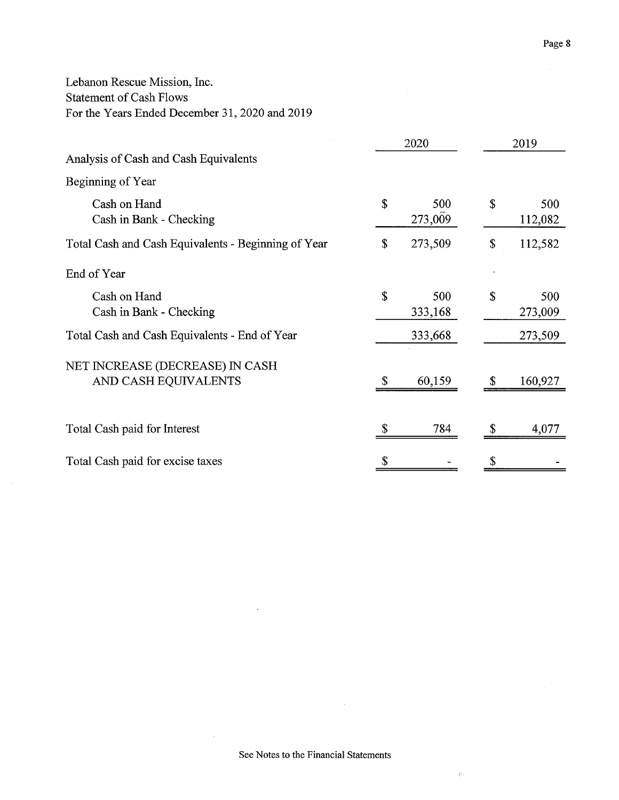## Lebanon Rescue Mission, Inc. Statement of Cash Flows For the Years Ended December 31, 2020 and 2019

|                                                         | 2020                 | 2019 |                |  |
|---------------------------------------------------------|----------------------|------|----------------|--|
| Analysis of Cash and Cash Equivalents                   |                      |      |                |  |
| Beginning of Year                                       |                      |      |                |  |
| Cash on Hand<br>Cash in Bank - Checking                 | \$<br>500<br>273,009 | \$   | 500<br>112,082 |  |
| Total Cash and Cash Equivalents - Beginning of Year     | \$<br>273,509        | \$   | 112,582        |  |
| End of Year                                             |                      |      |                |  |
| Cash on Hand<br>Cash in Bank - Checking                 | \$<br>500<br>333,168 | \$   | 500<br>273,009 |  |
| Total Cash and Cash Equivalents - End of Year           | 333,668              |      | 273,509        |  |
| NET INCREASE (DECREASE) IN CASH<br>AND CASH EQUIVALENTS | 60,159               | S    | 160,927        |  |
| Total Cash paid for Interest                            | 784                  |      | 4,077          |  |
| Total Cash paid for excise taxes                        |                      |      |                |  |

 $\mathcal{A}^{\mathcal{A}}$ 

 $\mathcal{C}^{\perp}$ 

 $\bar{z}$ 

 $\hat{\boldsymbol{\beta}}$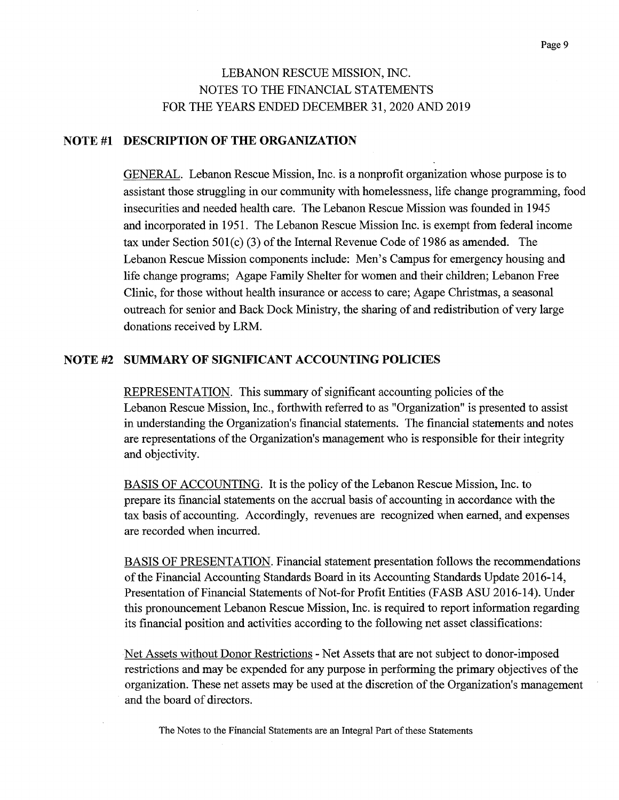## LEBANON RESCUE MISSION, INC. NOTES TO THE FINANCIAL STATEMENTS FOR THE YEARS ENDED DECEMBER 31, 2020 AND 2019

#### **NOTE #1 DESCRIPTION OF THE ORGANIZATION**

GENERAL. Lebanon Rescue Mission, Inc. is a nonprofit organization whose purpose is to assistant those struggling in our community with homelessness, life change programming, food insecurities and needed health care. The Lebanon Rescue Mission was founded in 1945 and incorporated in 1951. The Lebanon Rescue Mission Inc. is exempt from federal income tax under Section 501(c) (3) of the Internal Revenue Code of 1986 as amended. The Lebanon Rescue Mission components include: Men's Campus for emergency housing and life change programs; Agape Family Shelter for women and their children; Lebanon Free Clinic, for those without health insurance or access to care; Agape Christmas, a seasonal outreach for senior and Back Dock Ministry, the sharing of and redistribution of very large donations received by LRM.

#### **NOTE #2 SUMMARY OF SIGNIFICANT ACCOUNTING POLICIES**

REPRESENTATION. This summary of significant accounting policies of the Lebanon Rescue Mission, Inc., forthwith referred to as "Organization" is presented to assist in understanding the Organization's financial statements. The financial statements and notes are representations of the Organization's management who is responsible for their integrity and objectivity.

BASIS OF ACCOUNTING. It is the policy of the Lebanon Rescue Mission, Inc. to prepare its financial statements on the accrual basis of accounting in accordance with the tax basis of accounting. Accordingly, revenues are recognized when earned, and expenses are recorded when incurred.

BASIS OF PRESENTATION. Financial statement presentation follows the recommendations of the Financial Accounting Standards Board in its Accounting Standards Update 2016-14, Presentation of Financial Statements of Not-for Profit Entities (FASB ASU 2016-14). Under this pronouncement Lebanon Rescue Mission, Inc. is required to report information regarding its financial position and activities according to the following net asset classifications:

Net Assets without Donor Restrictions - Net Assets that are not subject to donor-imposed restrictions and may be expended for any purpose in performing the primary objectives of the organization. These net assets may be used at the discretion of the Organization's management and the board of directors.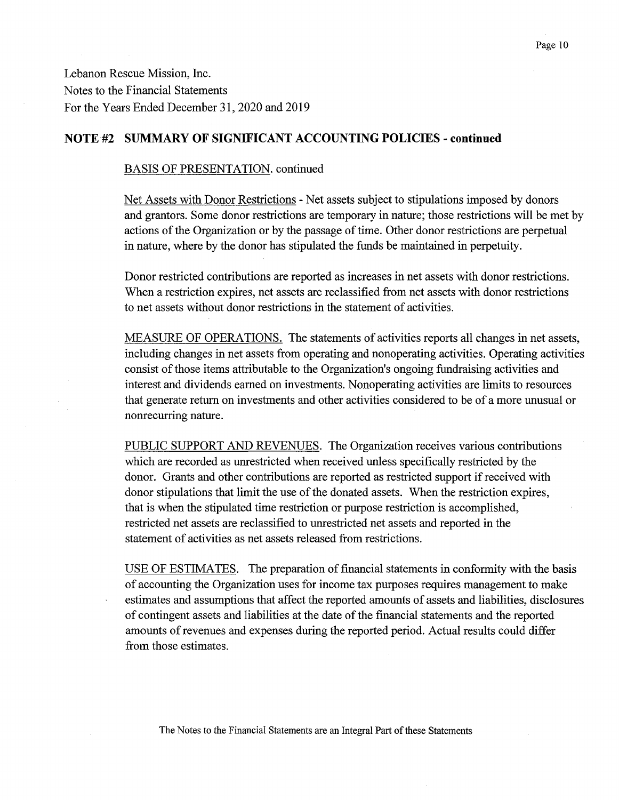### **NOTE #2 SUMMARY OF SIGNIFICANT ACCOUNTING POLICIES - continued**

#### BASIS OF PRESENTATION. continued

Net Assets with Donor Restrictions - Net assets subject to stipulations imposed by donors and grantors. Some donor restrictions are temporary in nature; those restrictions will be met by actions of the Organization or by the passage of time. Other donor restrictions are perpetual in nature, where by the donor has stipulated the funds be maintained in perpetuity.

Donor restricted contributions are reported as increases in net assets with donor restrictions. When a restriction expires, net assets are reclassified from net assets with donor restrictions to net assets without donor restrictions in the statement of activities.

MEASURE OF OPERATIONS. The statements of activities reports all changes in net assets, including changes in net assets from operating and nonoperating activities. Operating activities consist of those items attributable to the Organization's ongoing fundraising activities and interest and dividends earned on investments. Nonoperating activities are limits to resources that generate return on investments and other activities considered to be of a more unusual or nonrecurring nature.

PUBLIC SUPPORT AND REVENUES. The Organization receives various contributions which are recorded as unrestricted when received unless specifically restricted by the donor. Grants and other contributions are reported as restricted support if received with donor stipulations that limit the use of the donated assets. When the restriction expires, that is when the stipulated time restriction or purpose restriction is accomplished, restricted net assets are reclassified to unrestricted net assets and reported in the statement of activities as net assets released from restrictions.

USE OF ESTIMATES. The preparation of financial statements in conformity with the basis of accounting the Organization uses for income tax purposes requires management to make estimates and assumptions that affect the reported amounts of assets and liabilities, disclosures of contingent assets and liabilities at the date of the financial statements and the reported amounts of revenues and expenses during the reported period. Actual results could differ from those estimates.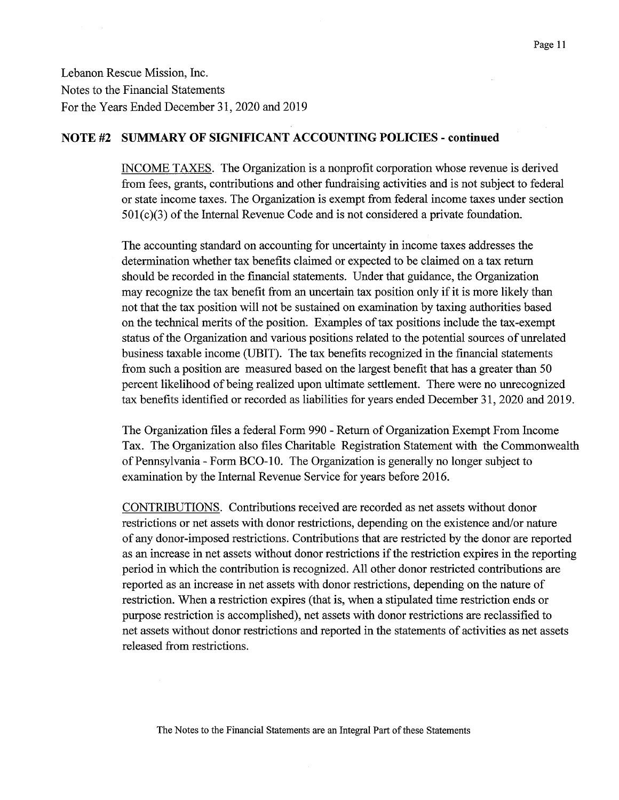## **NOTE #2 SUMMARY OF SIGNIFICANT ACCOUNTING POLICIES - continued**

INCOME TAXES. The Organization is a nonprofit corporation whose revenue is derived from fees, grants, contributions and other fundraising activities and is not subject to federal or state income taxes. The Organization is exempt from federal income taxes under section  $501(c)(3)$  of the Internal Revenue Code and is not considered a private foundation.

The accounting standard on accounting for uncertainty in income taxes addresses the determination whether tax benefits claimed or expected to be claimed on a tax return should be recorded in the financial statements. Under that guidance, the Organization may recognize the tax benefit from an uncertain tax position only if it is more likely than not that the tax position will not be sustained on examination by taxing authorities based on the technical merits of the position. Examples of tax positions include the tax-exempt status of the Organization and various positions related to the potential sources of unrelated business taxable income (UBIT). The tax benefits recognized in the financial statements from such a position are measured based on the largest benefit that has a greater than 50 percent likelihood of being realized upon ultimate settlement. There were no unrecognized tax benefits identified or recorded as liabilities for years ended December 31, 2020 and 2019.

The Organization files a federal Form 990 - Return of Organization Exempt From Income Tax. The Organization also files Charitable Registration Statement with the Commonwealth of Pennsylvania - Form BCO-10. The Organization is generally no longer subject to examination by the Internal Revenue Service for years before 2016.

CONTRIBUTIONS. Contributions received are recorded as net assets without donor restrictions or net assets with donor restrictions, depending on the existence and/or nature of any donor-imposed restrictions. Contributions that are restricted by the donor are reported as an increase in net assets without donor restrictions if the restriction expires in the reporting period in which the contribution is recognized. All other donor restricted contributions are reported as an increase in net assets with donor restrictions, depending on the nature of restriction. When a restriction expires (that is, when a stipulated time restriction ends or purpose restriction is accomplished), net assets with donor restrictions are reclassified to net assets without donor restrictions and reported in the statements of activities as net assets released from restrictions.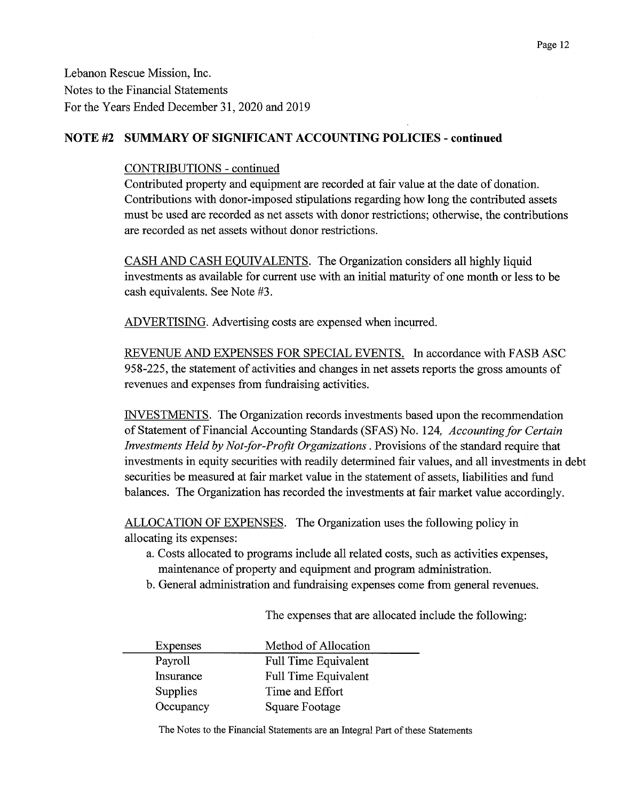## **NOTE #2 SUMMARY OF SIGNIFICANT ACCOUNTING POLICIES - continued**

### CONTRIBUTIONS - continued

Contributed property and equipment are recorded at fair value at the date of donation. Contributions with donor-imposed stipulations regarding how long the contributed assets must be used are recorded as net assets with donor restrictions; otherwise, the contributions are recorded as net assets without donor restrictions.

CASH AND CASH EQUIVALENTS. The Organization considers all highly liquid investments as available for current use with an initial maturity of one month or less to be cash equivalents. See Note #3.

ADVERTISING. Advertising costs are expensed when incurred.

REVENUE AND EXPENSES FOR SPECIAL EVENTS. In accordance with FASB ASC 958-225, the statement of activities and changes in net assets reports the gross amounts of revenues and expenses from fundraising activities.

INVESTMENTS. The Organization records investments based upon the recommendation of Statement of Financial Accounting Standards (SPAS) No. 124, *Accounting for Certain Investments Held by Not-for-Profit Organizations.* Provisions of the standard require that investments in equity securities with readily determined fair values, and all investments in debt securities be measured at fair market value in the statement of assets, liabilities and fund balances. The Organization has recorded the investments at fair market value accordingly.

ALLOCATION OF EXPENSES. The Organization uses the following policy in allocating its expenses:

- a. Costs allocated to programs include all related costs, such as activities expenses, maintenance of property and equipment and program administration.
- b. General administration and fundraising expenses come from general revenues.

The expenses that are allocated include the following:

| <b>Expenses</b> | Method of Allocation        |
|-----------------|-----------------------------|
| Payroll         | <b>Full Time Equivalent</b> |
| Insurance       | <b>Full Time Equivalent</b> |
| <b>Supplies</b> | Time and Effort             |
| Occupancy       | Square Footage              |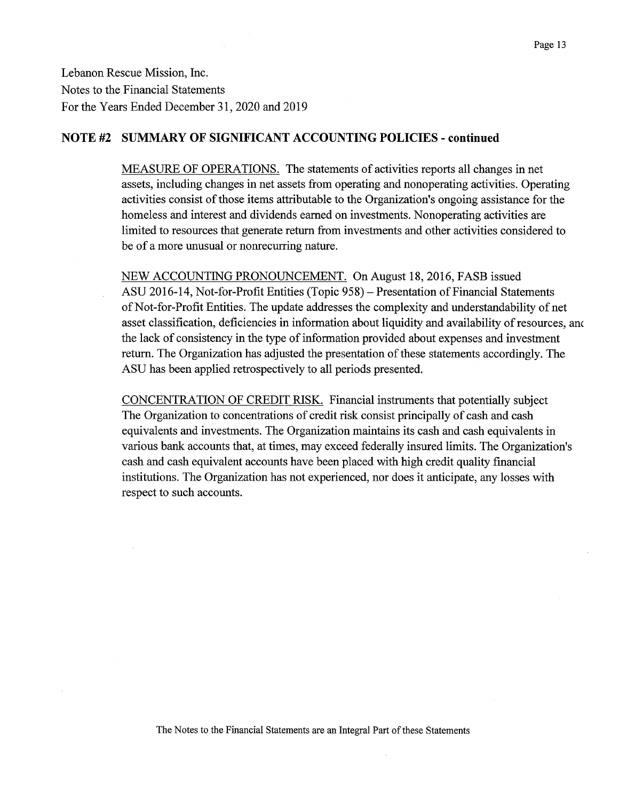#### **NOTE #2 SUMMARY OF SIGNIFICANT ACCOUNTING POLICIES - continued**

MEASURE OF OPERATIONS. The statements of activities reports all changes in net assets, including changes in net assets from operating and nonoperating activities. Operating activities consist of those items attributable to the Organization's ongoing assistance for the homeless and interest and dividends earned on investments. Nonoperating activities are limited to resources that generate return from investments and other activities considered to be of a more unusual or nonrecurring nature.

NEW ACCOUNTING PRONOUNCEMENT. On August 18, 2016, FASB issued ASU 2016-14, Not-for-Profit Entities (Topic 958)-Presentation of Financial Statements of Not-for-Profit Entities. The update addresses the complexity and understandability of net asset classification, deficiencies in information about liquidity and availability of resources, anc the lack of consistency in the type of information provided about expenses and investment return. The Organization has adjusted the presentation of these statements accordingly. The ASU has been applied retrospectively to all periods presented.

CONCENTRATION OF CREDIT RISK. Financial instruments that potentially subject The Organization to concentrations of credit risk consist principally of cash and cash equivalents and investments. The Organization maintains its cash and cash equivalents in various bank accounts that, at times, may exceed federally insured limits. The Organization's cash and cash equivalent accounts have been placed with high credit quality financial institutions. The Organization has not experienced, nor does it anticipate, any losses with respect to such accounts.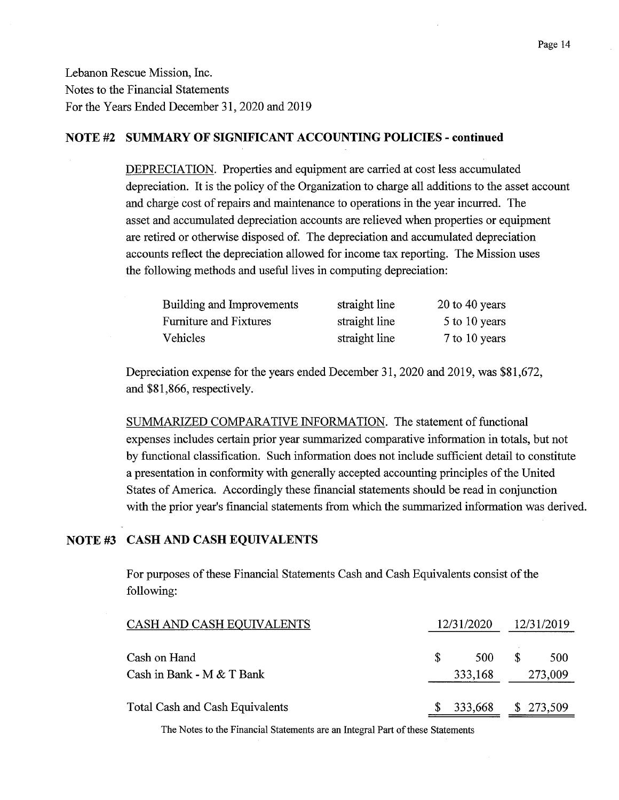#### **NOTE #2 SUMMARY OF SIGNIFICANT ACCOUNTING POLICIES - continued**

DEPRECIATION. Properties and equipment are carried at cost less accumulated depreciation. It is the policy of the Organization to charge all additions to the asset account and charge cost of repairs and maintenance to operations in the year incurred. The asset and accumulated depreciation accounts are relieved when properties or equipment are retired or otherwise disposed of. The depreciation and accumulated depreciation accounts reflect the depreciation allowed for income tax reporting. The Mission uses the following methods and useful lives in computing depreciation:

| Building and Improvements     | straight line | $20$ to 40 years |
|-------------------------------|---------------|------------------|
| <b>Furniture and Fixtures</b> | straight line | 5 to 10 years    |
| Vehicles                      | straight line | 7 to 10 years    |

Depreciation expense for the years ended December 31, 2020 and 2019, was \$81,672, and \$81,866, respectively.

SUMMARIZED COMPARATIVE INFORMATION. The statement of functional expenses includes certain prior year summarized comparative information in totals, but not by functional classification. Such information does not include sufficient detail to constitute a presentation in conformity with generally accepted accounting principles of the United States of America. Accordingly these financial statements should be read in conjunction with the prior year's financial statements from which the summarized information was derived.

#### **NOTE #3 CASH AND CASH EQUIVALENTS**

For purposes of these Financial Statements Cash and Cash Equivalents consist of the following:

| CASH AND CASH EQUIVALENTS                 |   | 12/31/2020         | 12/31/2019 |                |  |  |
|-------------------------------------------|---|--------------------|------------|----------------|--|--|
| Cash on Hand<br>Cash in Bank - M & T Bank | S | 500<br>333,168     | \$         | 500<br>273,009 |  |  |
| Total Cash and Cash Equivalents           |   | 333,668 \$ 273,509 |            |                |  |  |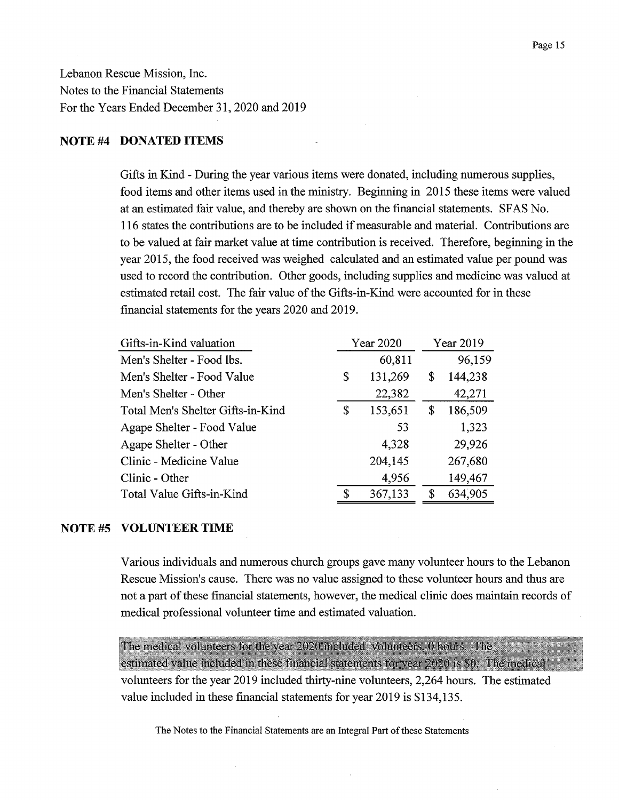#### **NOTE #4 DONATED ITEMS**

Gifts in Kind - During the year various items were donated, including numerous supplies, food items and other items used in the ministry. Beginning in 2015 these items were valued at an estimated fair value, and thereby are shown on the financial statements. SF AS No. 116 states the contributions are to be included if measurable and material. Contributions are to be valued at fair market value at time contribution is received. Therefore, beginning in the year 2015, the food received was weighed calculated and an estimated value per pound was used to record the contribution. Other goods, including supplies and medicine was valued at estimated retail cost. The fair value of the Gifts-in-Kind were accounted for in these financial statements for the years 2020 and 2019.

| Gifts-in-Kind valuation           | Year 2020 |         |    | Year 2019 |
|-----------------------------------|-----------|---------|----|-----------|
| Men's Shelter - Food lbs.         |           | 60,811  |    | 96,159    |
| Men's Shelter - Food Value        | S         | 131,269 | \$ | 144,238   |
| Men's Shelter - Other             |           | 22,382  |    | 42,271    |
| Total Men's Shelter Gifts-in-Kind | \$        | 153,651 | \$ | 186,509   |
| Agape Shelter - Food Value        |           | 53      |    | 1,323     |
| Agape Shelter - Other             |           | 4,328   |    | 29,926    |
| Clinic - Medicine Value           |           | 204,145 |    | 267,680   |
| Clinic - Other                    |           | 4,956   |    | 149,467   |
| Total Value Gifts-in-Kind         | S         | 367,133 | S  | 634,905   |

#### **NOTE#S VOLUNTEER TIME**

Various individuals and numerous church groups gave many volunteer hours to the Lebanon Rescue Mission's cause. There was no value assigned to these volunteer hours and thus are not a part of these financial statements, however, the medical clinic does maintain records of medical professional volunteer time and estimated valuation.

The medical volunteers for the year 2020 included volunteers, 0 hours. The estimated value included in these financial statements for year 2020 is \$0. The medical volunteers for the year 2019 included thirty-nine volunteers, 2,264 hours. The estimated value included in these financial statements for year 2019 is \$134,135.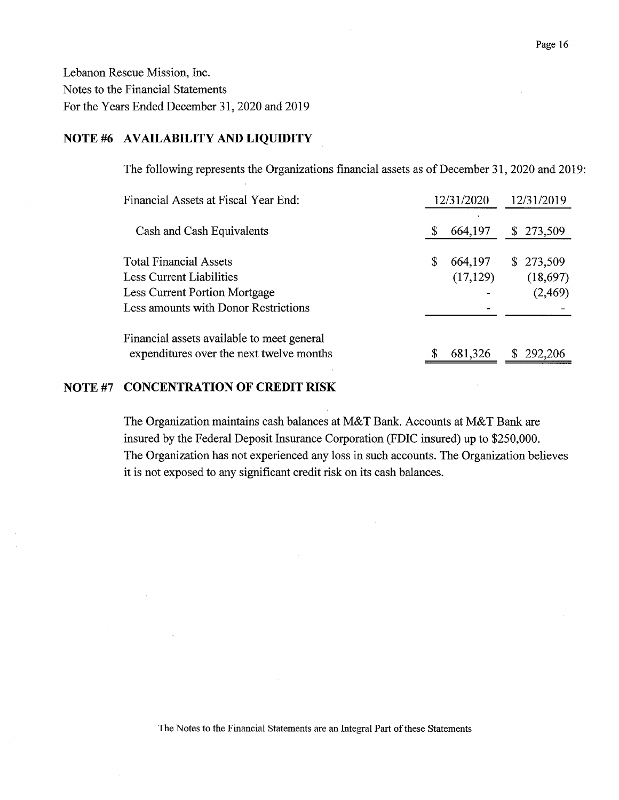## **NOTE #6 AVAILABILITY AND LIQUIDITY**

The following represents the Organizations financial assets as of December 31, 2020 and 2019:

| Financial Assets at Fiscal Year End:                                                              | 12/31/2020 |                      |    | 12/31/2019                        |  |  |
|---------------------------------------------------------------------------------------------------|------------|----------------------|----|-----------------------------------|--|--|
| Cash and Cash Equivalents                                                                         |            | 664,197              | \$ | 273,509                           |  |  |
| <b>Total Financial Assets</b><br>Less Current Liabilities<br><b>Less Current Portion Mortgage</b> | \$         | 664,197<br>(17, 129) |    | \$273,509<br>(18,697)<br>(2, 469) |  |  |
| Less amounts with Donor Restrictions                                                              |            |                      |    |                                   |  |  |
| Financial assets available to meet general<br>expenditures over the next twelve months            |            | 681,326              |    | \$292,206                         |  |  |

## **NOTE #7 CONCENTRATION OF CREDIT RISK**

The Organization maintains cash balances at M&T Bank. Accounts at M&T Bank are insured by the Federal Deposit Insurance Corporation (FDIC insured) up to \$250,000. The Organization has not experienced any loss in such accounts. The Organization believes it is not exposed to any significant credit risk on its cash balances.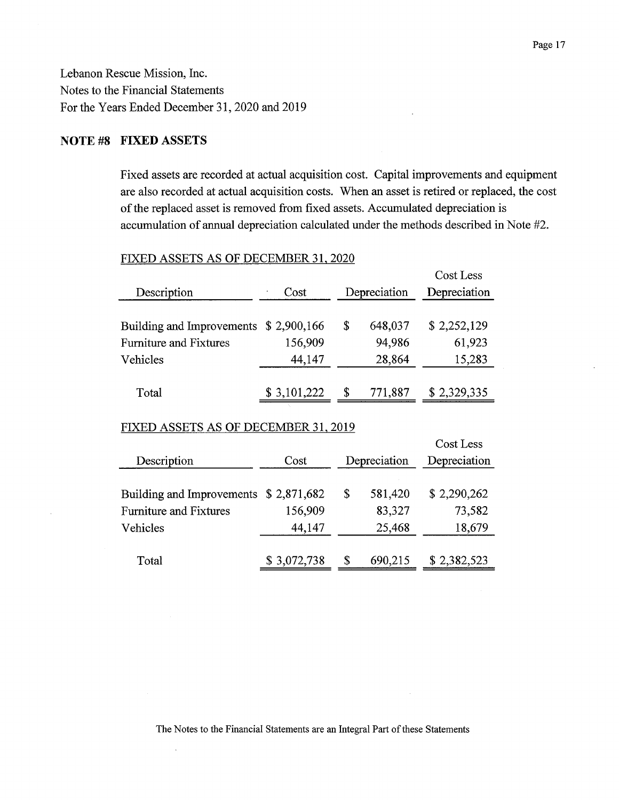## **NOTE #8 FIXED ASSETS**

Fixed assets are recorded at actual acquisition cost. Capital improvements and equipment are also recorded at actual acquisition costs. When an asset is retired or replaced, the cost of the replaced asset is removed from fixed assets. Accumulated depreciation is accumulation of annual depreciation calculated under the methods described in Note #2.

#### FIXED ASSETS AS OF DECEMBER 31, 2020

|                               |             |   |              | Cost Less    |
|-------------------------------|-------------|---|--------------|--------------|
| Description                   | Cost        |   | Depreciation | Depreciation |
|                               | \$2,900,166 | S | 648,037      | \$2,252,129  |
| Building and Improvements     |             |   |              |              |
| <b>Furniture and Fixtures</b> | 156,909     |   | 94,986       | 61,923       |
| Vehicles                      | 44,147      |   | 28,864       | 15,283       |
|                               |             |   |              |              |
| Total                         | \$3,101,222 | S | 771,887      | \$2,329,335  |

#### FIXED ASSETS AS OF DECEMBER 31, 2019

 $\ddot{\phantom{a}}$ 

|                               |             |              |         | Cost Less    |
|-------------------------------|-------------|--------------|---------|--------------|
| Description                   | Cost        | Depreciation |         | Depreciation |
|                               |             |              |         |              |
| Building and Improvements     | \$2,871,682 | S            | 581,420 | \$2,290,262  |
| <b>Furniture and Fixtures</b> | 156,909     |              | 83,327  | 73,582       |
| Vehicles                      | 44,147      |              | 25,468  | 18,679       |
|                               |             |              |         |              |
| Total                         | \$3,072,738 | S            | 690,215 | \$2,382,523  |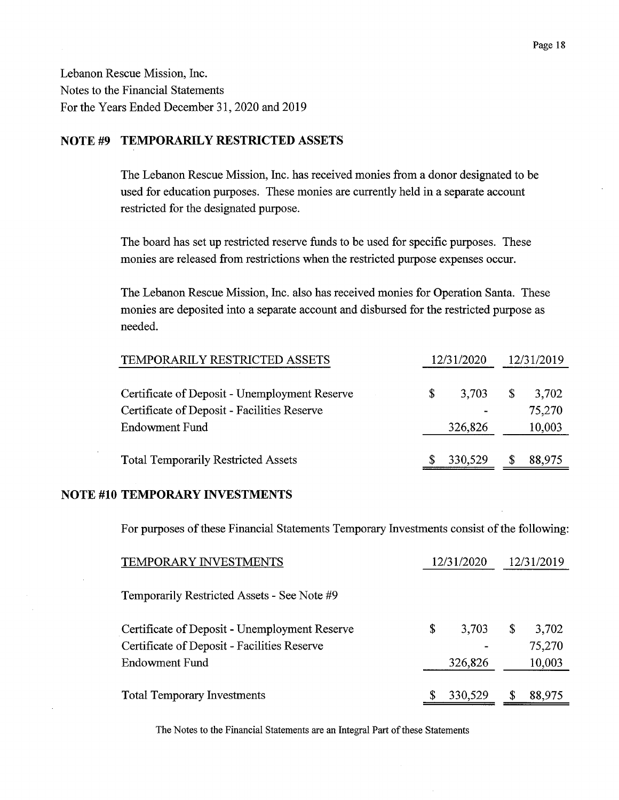### **NOTE #9 TEMPORARILY RESTRICTED ASSETS**

The Lebanon Rescue Mission, Inc. has received monies from a donor designated to be used for education purposes. These monies are currently held in a separate account restricted for the designated purpose.

The board has set up restricted reserve funds to be used for specific purposes. These monies are released from restrictions when the restricted purpose expenses occur.

The Lebanon Rescue Mission, Inc. also has received monies for Operation Santa. These monies are deposited into a separate account and disbursed for the restricted purpose as needed.

| <b>TEMPORARILY RESTRICTED ASSETS</b>                                                         | 12/31/2020                    | 12/31/2019            |  |
|----------------------------------------------------------------------------------------------|-------------------------------|-----------------------|--|
| Certificate of Deposit - Unemployment Reserve<br>Certificate of Deposit - Facilities Reserve | \$<br>3.703<br>$\blacksquare$ | \$<br>3,702<br>75,270 |  |
| <b>Endowment Fund</b>                                                                        | 326,826                       | 10,003                |  |
| <b>Total Temporarily Restricted Assets</b>                                                   | 330,529                       | 88,975                |  |

#### **NOTE #10 TEMPORARY INVESTMENTS**

For purposes of these Financial Statements Temporary Investments consist of the following:

| <b>TEMPORARY INVESTMENTS</b>                                                                                          | 12/31/2020             |    | 12/31/2019                |  |
|-----------------------------------------------------------------------------------------------------------------------|------------------------|----|---------------------------|--|
| Temporarily Restricted Assets - See Note #9                                                                           |                        |    |                           |  |
| Certificate of Deposit - Unemployment Reserve<br>Certificate of Deposit - Facilities Reserve<br><b>Endowment Fund</b> | \$<br>3,703<br>326,826 | \$ | 3,702<br>75,270<br>10,003 |  |
| <b>Total Temporary Investments</b>                                                                                    | 330,529                |    | 88,975                    |  |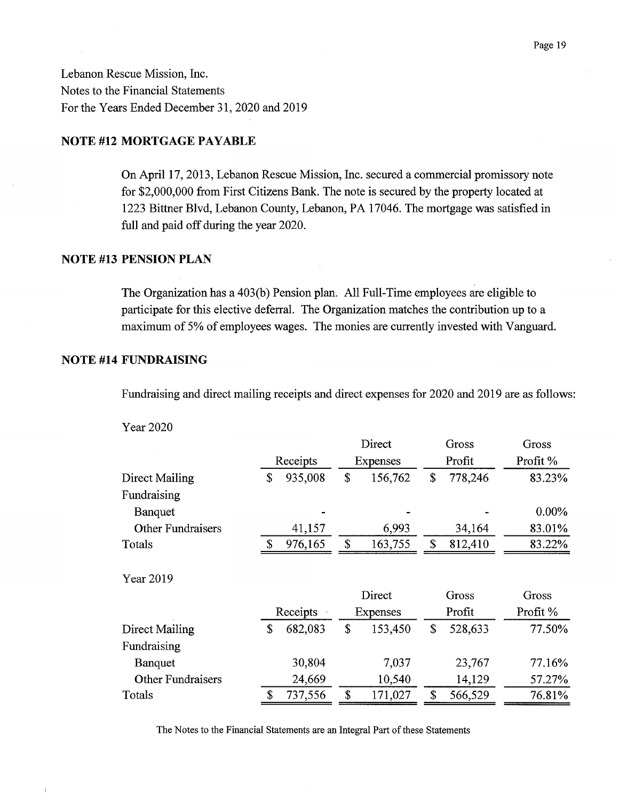#### **NOTE #12 MORTGAGE PAYABLE**

On April 17, 2013, Lebanon Rescue Mission, Inc. secured a commercial promissory note for \$2,000,000 from First Citizens Bank. The note is secured by the property located at 1223 Bittner Blvd, Lebanon County, Lebanon, PA 17046. The mortgage was satisfied in full and paid off during the year 2020.

#### **NOTE #13 PENSION PLAN**

The Organization has a 403(b) Pension plan. All Full-Time employees are eligible to participate for this elective deferral. The Organization matches the contribution up to a maximum of 5% of employees wages. The monies are currently invested with Vanguard.

#### **NOTE #14 FUNDRAISING**

Fundraising and direct mailing receipts and direct expenses for 2020 and 2019 are as follows:

| Year 2020 |
|-----------|
|           |

|                          |             |          | Direct |          |    | Gross   | Gross    |  |
|--------------------------|-------------|----------|--------|----------|----|---------|----------|--|
|                          |             | Receipts |        | Expenses |    | Profit  | Profit % |  |
| Direct Mailing           | \$          | 935,008  | \$     | 156,762  | \$ | 778,246 | 83.23%   |  |
| Fundraising              |             |          |        |          |    |         |          |  |
| Banquet                  |             |          |        |          |    |         | $0.00\%$ |  |
| <b>Other Fundraisers</b> |             | 41,157   |        | 6,993    |    | 34,164  | 83.01%   |  |
| Totals                   | $\mathbf S$ | 976,165  | \$     | 163,755  | \$ | 812,410 | 83.22%   |  |
| Year 2019                |             |          |        |          |    |         |          |  |
|                          |             |          |        | Direct   |    | Gross   | Gross    |  |
|                          |             | Receipts |        | Expenses |    | Profit  | Profit % |  |
| Direct Mailing           | \$          | 682,083  | \$     | 153,450  | \$ | 528,633 | 77.50%   |  |
| Fundraising              |             |          |        |          |    |         |          |  |
| Banquet                  |             | 30,804   |        | 7,037    |    | 23,767  | 77.16%   |  |
| <b>Other Fundraisers</b> |             | 24,669   |        | 10,540   |    | 14,129  | 57.27%   |  |
| Totals                   | S           | 737,556  | \$     | 171,027  | \$ | 566,529 | 76.81%   |  |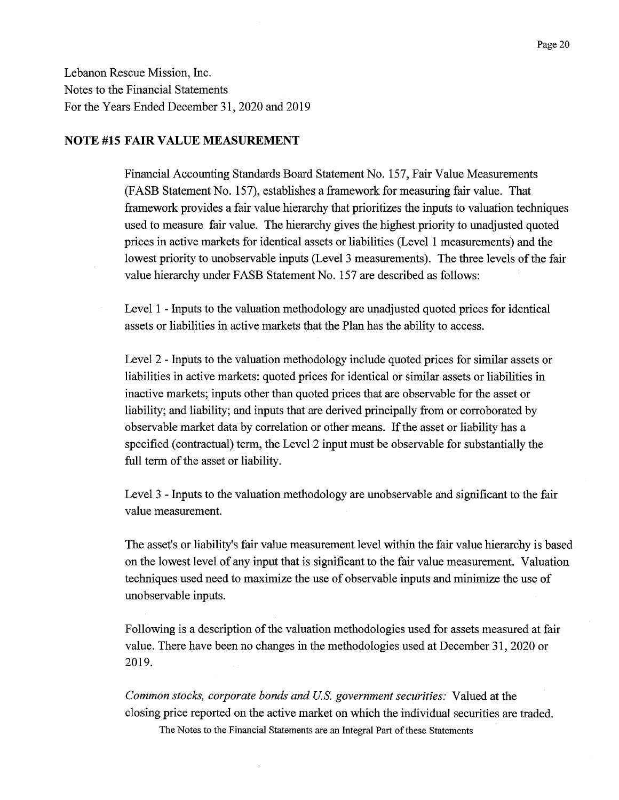#### **NOTE #15 FAIR VALUE MEASUREMENT**

Financial Accounting Standards Board Statement No. 157, Fair Value Measurements (F ASB Statement No. 157), establishes a framework for measuring fair value. That framework provides a fair value hierarchy that prioritizes the inputs to valuation techniques used to measure fair value. The hierarchy gives the highest priority to unadjusted quoted prices in active markets for identical assets or liabilities (Level 1 measurements) and the lowest priority to unobservable inputs (Level 3 measurements). The three levels of the fair value hierarchy under FASB Statement No. 157 are described as follows:

Level 1 - Inputs to the valuation methodology are unadjusted quoted prices for identical assets or liabilities in active markets that the Plan has the ability to access.

Level 2 - Inputs to the valuation methodology include quoted prices for similar assets or liabilities in active markets: quoted prices for identical or similar assets or liabilities in inactive markets; inputs other than quoted prices that are observable for the asset or liability; and liability; and inputs that are derived principally from or corroborated by observable market data by correlation or other means. If the asset or liability has a specified (contractual) term, the Level 2 input must be observable for substantially the full term of the asset or liability.

Level 3 - Inputs to the valuation methodology are unobservable and significant to the fair value measurement.

The asset's or liability's fair value measurement level within the fair value hierarchy is based on the lowest level of any input that is significant to the fair value measurement. Valuation techniques used need to maximize the use of observable inputs and minimize the use of unobservable inputs.

Following is a description of the valuation methodologies used for assets measured at fair value. There have been no changes in the methodologies used at December 31, 2020 or 2019.

*Common stocks, corporate bonds and US. government securities:* Valued at the closing price reported on the active market on which the individual securities are traded.